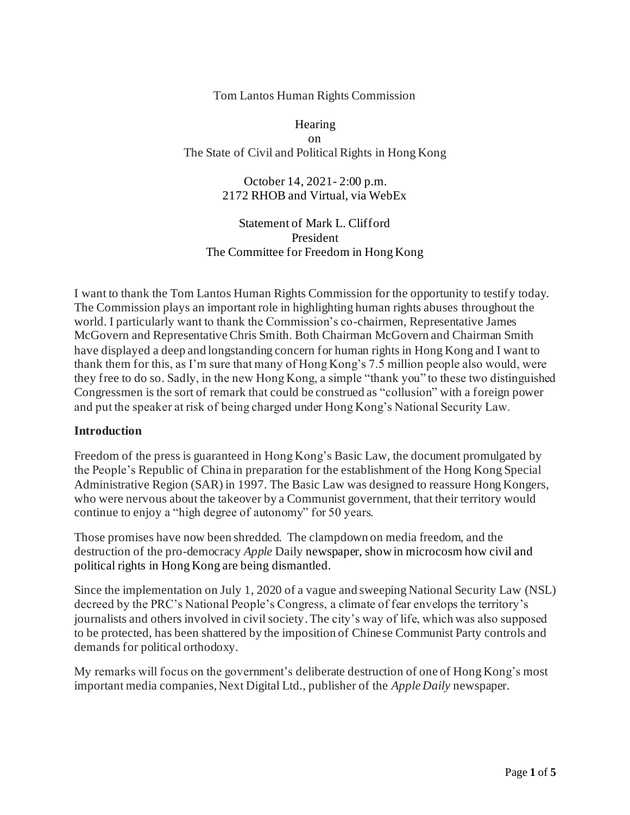### Tom Lantos Human Rights Commission

Hearing on The State of Civil and Political Rights in Hong Kong

> October 14, 2021- 2:00 p.m. 2172 RHOB and Virtual, via WebEx

Statement of Mark L. Clifford President The Committee for Freedom in Hong Kong

I want to thank the Tom Lantos Human Rights Commission for the opportunity to testify today. The Commission plays an important role in highlighting human rights abuses throughout the world. I particularly want to thank the Commission's co-chairmen, Representative James McGovern and Representative Chris Smith. Both Chairman McGovern and Chairman Smith have displayed a deep and longstanding concern for human rights in Hong Kong and I want to thank them for this, as I'm sure that many of Hong Kong's 7.5 million people also would, were they free to do so. Sadly, in the new Hong Kong, a simple "thank you" to these two distinguished Congressmen is the sort of remark that could be construed as "collusion" with a foreign power and put the speaker at risk of being charged under Hong Kong's National Security Law.

### **Introduction**

Freedom of the press is guaranteed in Hong Kong's Basic Law, the document promulgated by the People's Republic of China in preparation for the establishment of the Hong Kong Special Administrative Region (SAR) in 1997. The Basic Law was designed to reassure Hong Kongers, who were nervous about the takeover by a Communist government, that their territory would continue to enjoy a "high degree of autonomy" for 50 years.

Those promises have now been shredded. The clampdown on media freedom, and the destruction of the pro-democracy *Apple* Daily newspaper, show in microcosm how civil and political rights in Hong Kong are being dismantled.

Since the implementation on July 1, 2020 of a vague and sweeping National Security Law (NSL) decreed by the PRC's National People's Congress, a climate of fear envelops the territory's journalists and others involved in civil society. The city's way of life, which was also supposed to be protected, has been shattered by the imposition of Chinese Communist Party controls and demands for political orthodoxy.

My remarks will focus on the government's deliberate destruction of one of Hong Kong's most important media companies, Next Digital Ltd., publisher of the *Apple Daily* newspaper.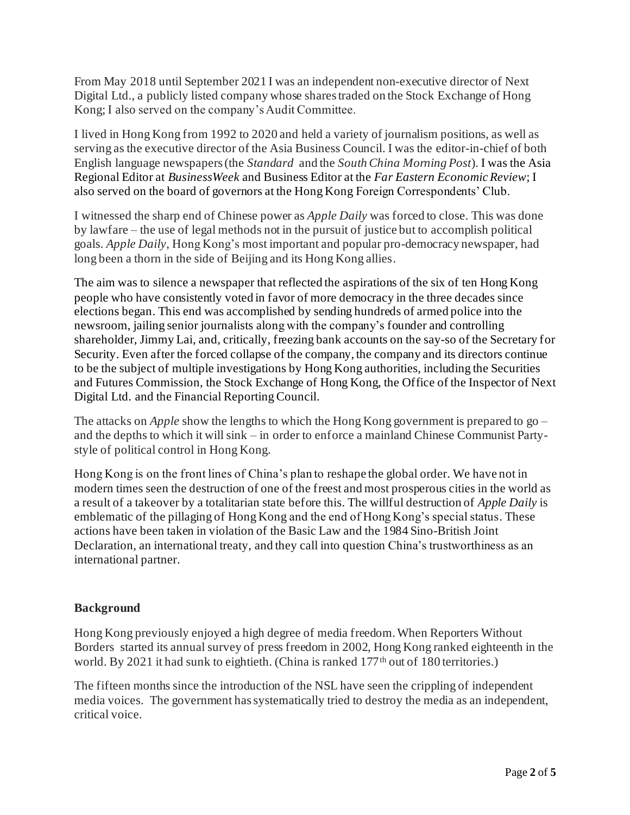From May 2018 until September 2021 I was an independent non-executive director of Next Digital Ltd., a publicly listed company whose shares traded on the Stock Exchange of Hong Kong; I also served on the company's Audit Committee.

I lived in Hong Kong from 1992 to 2020 and held a variety of journalism positions, as well as serving as the executive director of the Asia Business Council. I was the editor-in-chief of both English language newspapers (the *Standard* and the *South China Morning Post*). I was the Asia Regional Editor at *BusinessWeek* and Business Editor at the *Far Eastern Economic Review*; I also served on the board of governors at the Hong Kong Foreign Correspondents' Club.

I witnessed the sharp end of Chinese power as *Apple Daily* was forced to close. This was done by lawfare – the use of legal methods not in the pursuit of justice but to accomplish political goals. *Apple Daily*, Hong Kong's most important and popular pro-democracy newspaper, had long been a thorn in the side of Beijing and its Hong Kong allies.

The aim was to silence a newspaper that reflected the aspirations of the six of ten Hong Kong people who have consistently voted in favor of more democracy in the three decades since elections began. This end was accomplished by sending hundreds of armed police into the newsroom, jailing senior journalists along with the company's founder and controlling shareholder, Jimmy Lai, and, critically, freezing bank accounts on the say-so of the Secretary for Security. Even after the forced collapse of the company, the company and its directors continue to be the subject of multiple investigations by Hong Kong authorities, including the Securities and Futures Commission, the Stock Exchange of Hong Kong, the Office of the Inspector of Next Digital Ltd. and the Financial Reporting Council.

The attacks on *Apple* show the lengths to which the Hong Kong government is prepared to go – and the depths to which it will sink – in order to enforce a mainland Chinese Communist Partystyle of political control in Hong Kong.

Hong Kong is on the front lines of China's plan to reshape the global order. We have not in modern times seen the destruction of one of the freest and most prosperous cities in the world as a result of a takeover by a totalitarian state before this. The willful destruction of *Apple Daily* is emblematic of the pillaging of Hong Kong and the end of Hong Kong's special status. These actions have been taken in violation of the Basic Law and the 1984 Sino-British Joint Declaration, an international treaty, and they call into question China's trustworthiness as an international partner.

## **Background**

Hong Kong previously enjoyed a high degree of media freedom. When Reporters Without Borders started its annual survey of press freedom in 2002, Hong Kong ranked eighteenth in the world. By 2021 it had sunk to eightieth. (China is ranked 177<sup>th</sup> out of 180 territories.)

The fifteen months since the introduction of the NSL have seen the crippling of independent media voices. The government has systematically tried to destroy the media as an independent, critical voice.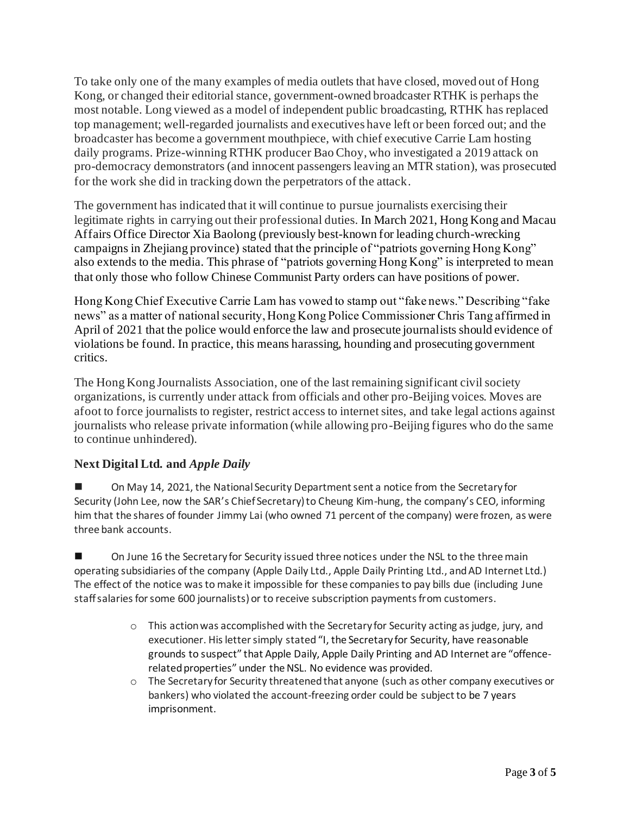To take only one of the many examples of media outlets that have closed, moved out of Hong Kong, or changed their editorial stance, government-owned broadcaster RTHK is perhaps the most notable. Long viewed as a model of independent public broadcasting, RTHK has replaced top management; well-regarded journalists and executives have left or been forced out; and the broadcaster has become a government mouthpiece, with chief executive Carrie Lam hosting daily programs. Prize-winning RTHK producer Bao Choy, who investigated a 2019 attack on pro-democracy demonstrators (and innocent passengers leaving an MTR station), was prosecuted for the work she did in tracking down the perpetrators of the attack.

The government has indicated that it will continue to pursue journalists exercising their legitimate rights in carrying out their professional duties. In March 2021, Hong Kong and Macau Affairs Office Director Xia Baolong (previously best-known for leading church-wrecking campaigns in Zhejiang province) stated that the principle of "patriots governing Hong Kong" also extends to the media. This phrase of "patriots governing Hong Kong" is interpreted to mean that only those who follow Chinese Communist Party orders can have positions of power.

Hong Kong Chief Executive Carrie Lam has vowed to stamp out "fake news." Describing "fake news" as a matter of national security, Hong Kong Police Commissioner Chris Tang affirmed in April of 2021 that the police would enforce the law and prosecute journalists should evidence of violations be found. In practice, this means harassing, hounding and prosecuting government critics.

The Hong Kong Journalists Association, one of the last remaining significant civil society organizations, is currently under attack from officials and other pro-Beijing voices. Moves are afoot to force journalists to register, restrict access to internet sites, and take legal actions against journalists who release private information (while allowing pro-Beijing figures who do the same to continue unhindered).

# **Next Digital Ltd. and** *Apple Daily*

■ On May 14, 2021, the National Security Department sent a notice from the Secretary for Security (John Lee, now the SAR's Chief Secretary) to Cheung Kim-hung, the company's CEO, informing him that the shares of founder Jimmy Lai (who owned 71 percent of the company) were frozen, as were three bank accounts.

On June 16 the Secretary for Security issued three notices under the NSL to the three main operating subsidiaries of the company (Apple Daily Ltd., Apple Daily Printing Ltd., and AD Internet Ltd.) The effect of the notice was to make it impossible for these companies to pay bills due (including June staff salaries for some 600 journalists) or to receive subscription payments from customers.

- o This action was accomplished with the Secretary for Security acting as judge, jury, and executioner. His letter simply stated "I, the Secretary for Security, have reasonable grounds to suspect" that Apple Daily, Apple Daily Printing and AD Internet are "offencerelated properties" under the NSL. No evidence was provided.
- $\circ$  The Secretary for Security threatened that anyone (such as other company executives or bankers) who violated the account-freezing order could be subject to be 7 years imprisonment.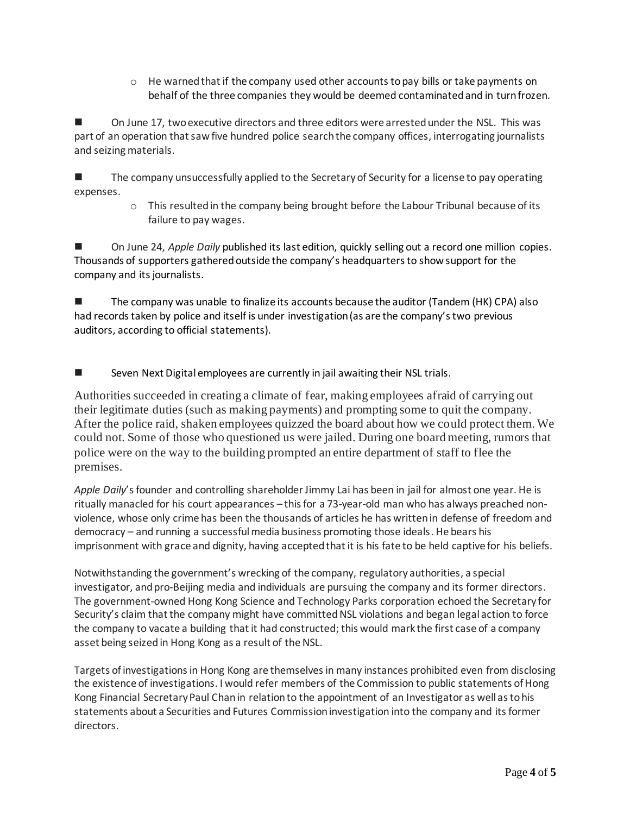$\circ$  He warned that if the company used other accounts to pay bills or take payments on behalf of the three companies they would be deemed contaminated and in turn frozen.

On June 17, two executive directors and three editors were arrested under the NSL. This was part of an operation that saw five hundred police search the company offices, interrogating journalists and seizing materials.

The company unsuccessfully applied to the Secretary of Security for a license to pay operating expenses.

> $\circ$  This resulted in the company being brought before the Labour Tribunal because of its failure to pay wages.

◼ On June 24, *Apple Daily* published its last edition, quickly selling out a record one million copies. Thousands of supporters gatheredoutside the company's headquarters to show support for the company and its journalists.

The company was unable to finalize its accounts because the auditor (Tandem (HK) CPA) also had records taken by police and itself is under investigation (as are the company's two previous auditors, according to official statements).

Seven Next Digital employees are currently in jail awaiting their NSL trials.

Authorities succeeded in creating a climate of fear, making employees afraid of carrying out their legitimate duties (such as making payments) and prompting some to quit the company. After the police raid, shaken employees quizzed the board about how we could protect them. We could not. Some of those who questioned us were jailed. During one board meeting, rumors that police were on the way to the building prompted an entire department of staff to flee the premises.

Apple Daily's founder and controlling shareholder Jimmy Lai has been in jail for almost one year. He is ritually manacled for his court appearances – this for a 73-year-old man who has always preached nonviolence, whose only crime has been the thousands of articles he has written in defense of freedom and democracy – and running a successful media business promoting those ideals. He bears his imprisonment with grace and dignity, having accepted that it is his fate to be held captive for his beliefs.

Notwithstanding the government's wrecking of the company, regulatory authorities, a special investigator, and pro-Beijing media and individuals are pursuing the company and its former directors. The government-owned Hong Kong Science and Technology Parks corporation echoed the Secretary for Security's claim that the company might have committed NSL violations and began legal action to force the company to vacate a building that it had constructed; this would mark the first case of a company asset being seized in Hong Kong as a result of the NSL.

Targets of investigationsin Hong Kong are themselves in many instances prohibited even from disclosing the existence of investigations. I would refer members of the Commission to public statements of Hong Kong Financial Secretary Paul Chan in relation to the appointment of an Investigator as well as to his statements about a Securities and Futures Commission investigation into the company and its former directors.